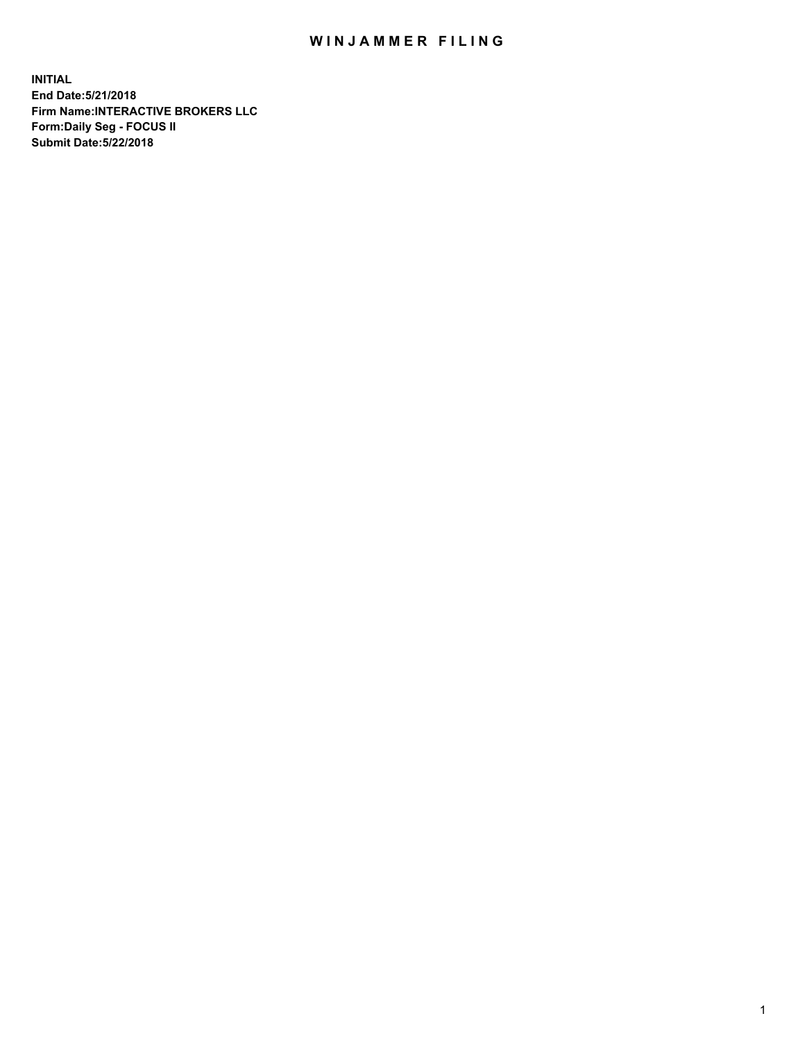## WIN JAMMER FILING

**INITIAL End Date:5/21/2018 Firm Name:INTERACTIVE BROKERS LLC Form:Daily Seg - FOCUS II Submit Date:5/22/2018**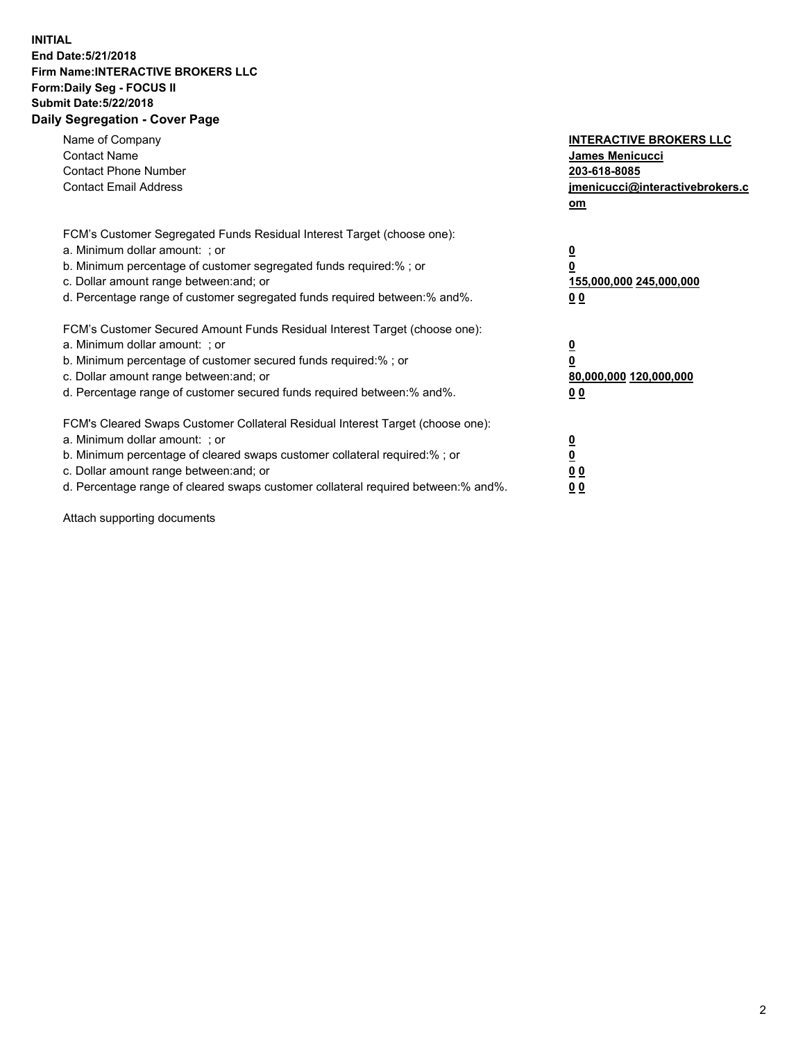## **INITIAL End Date:5/21/2018 Firm Name:INTERACTIVE BROKERS LLC Form:Daily Seg - FOCUS II Submit Date:5/22/2018 Daily Segregation - Cover Page**

| Name of Company<br><b>Contact Name</b><br><b>Contact Phone Number</b><br><b>Contact Email Address</b>                                                                                                                                                                                                                          | <b>INTERACTIVE BROKERS LLC</b><br>James Menicucci<br>203-618-8085<br>jmenicucci@interactivebrokers.c<br>om |
|--------------------------------------------------------------------------------------------------------------------------------------------------------------------------------------------------------------------------------------------------------------------------------------------------------------------------------|------------------------------------------------------------------------------------------------------------|
| FCM's Customer Segregated Funds Residual Interest Target (choose one):<br>a. Minimum dollar amount: ; or<br>b. Minimum percentage of customer segregated funds required:%; or<br>c. Dollar amount range between: and; or<br>d. Percentage range of customer segregated funds required between:% and%.                          | $\overline{\mathbf{0}}$<br>0<br>155,000,000 245,000,000<br>0 <sub>0</sub>                                  |
| FCM's Customer Secured Amount Funds Residual Interest Target (choose one):<br>a. Minimum dollar amount: ; or<br>b. Minimum percentage of customer secured funds required:%; or<br>c. Dollar amount range between: and; or<br>d. Percentage range of customer secured funds required between:% and%.                            | $\overline{\mathbf{0}}$<br>$\overline{\mathbf{0}}$<br>80,000,000 120,000,000<br>00                         |
| FCM's Cleared Swaps Customer Collateral Residual Interest Target (choose one):<br>a. Minimum dollar amount: ; or<br>b. Minimum percentage of cleared swaps customer collateral required:% ; or<br>c. Dollar amount range between: and; or<br>d. Percentage range of cleared swaps customer collateral required between:% and%. | $\overline{\mathbf{0}}$<br>$\overline{\mathbf{0}}$<br>0 <sub>0</sub><br><u>00</u>                          |

Attach supporting documents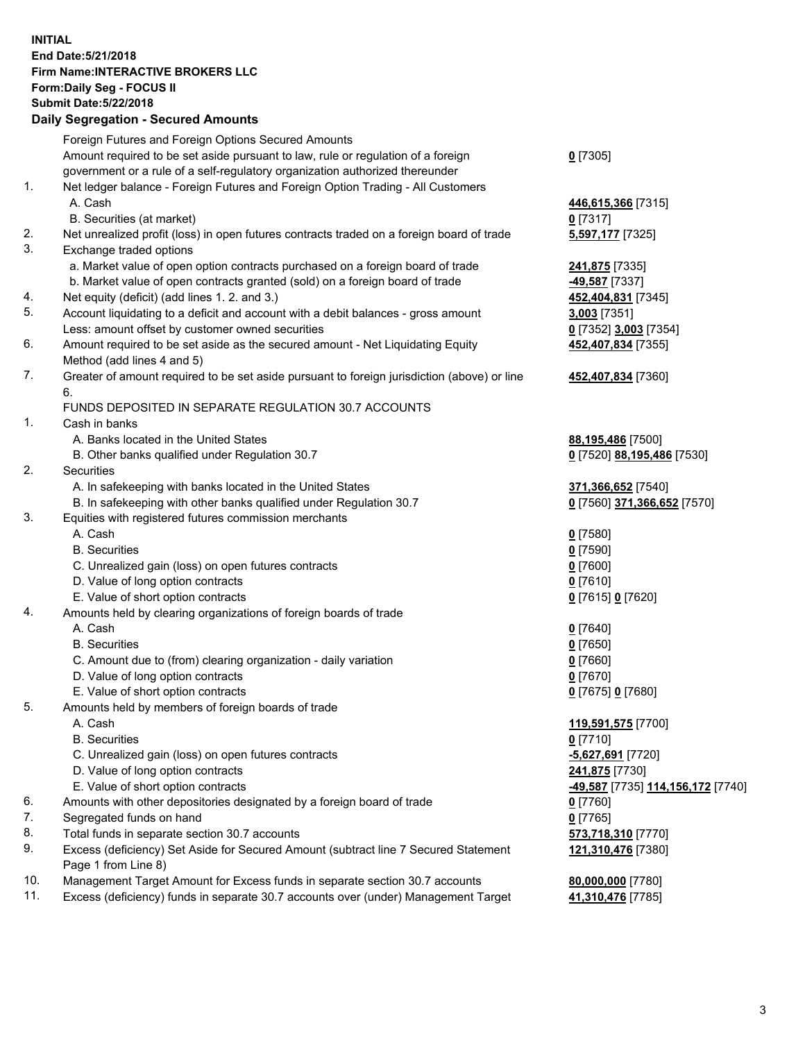## **INITIAL End Date:5/21/2018 Firm Name:INTERACTIVE BROKERS LLC Form:Daily Seg - FOCUS II Submit Date:5/22/2018 Daily Segregation - Secured Amounts**

|     | Daily Jegiegation - Jeculed Aniounts                                                        |                                   |
|-----|---------------------------------------------------------------------------------------------|-----------------------------------|
|     | Foreign Futures and Foreign Options Secured Amounts                                         |                                   |
|     | Amount required to be set aside pursuant to law, rule or regulation of a foreign            | $0$ [7305]                        |
|     | government or a rule of a self-regulatory organization authorized thereunder                |                                   |
| 1.  | Net ledger balance - Foreign Futures and Foreign Option Trading - All Customers             |                                   |
|     | A. Cash                                                                                     | 446,615,366 [7315]                |
|     | B. Securities (at market)                                                                   | $0$ [7317]                        |
| 2.  | Net unrealized profit (loss) in open futures contracts traded on a foreign board of trade   | 5,597,177 [7325]                  |
| 3.  | Exchange traded options                                                                     |                                   |
|     | a. Market value of open option contracts purchased on a foreign board of trade              | 241,875 [7335]                    |
|     | b. Market value of open contracts granted (sold) on a foreign board of trade                | 49,587 [7337]                     |
| 4.  | Net equity (deficit) (add lines 1.2. and 3.)                                                | 452,404,831 [7345]                |
| 5.  | Account liquidating to a deficit and account with a debit balances - gross amount           | 3,003 [7351]                      |
|     | Less: amount offset by customer owned securities                                            | 0 [7352] 3,003 [7354]             |
| 6.  | Amount required to be set aside as the secured amount - Net Liquidating Equity              | 452,407,834 [7355]                |
|     | Method (add lines 4 and 5)                                                                  |                                   |
| 7.  | Greater of amount required to be set aside pursuant to foreign jurisdiction (above) or line | 452,407,834 [7360]                |
|     | 6.                                                                                          |                                   |
|     | FUNDS DEPOSITED IN SEPARATE REGULATION 30.7 ACCOUNTS                                        |                                   |
| 1.  | Cash in banks                                                                               |                                   |
|     | A. Banks located in the United States                                                       | 88,195,486 [7500]                 |
|     | B. Other banks qualified under Regulation 30.7                                              | 0 [7520] 88,195,486 [7530]        |
| 2.  | Securities                                                                                  |                                   |
|     | A. In safekeeping with banks located in the United States                                   | 371,366,652 [7540]                |
|     | B. In safekeeping with other banks qualified under Regulation 30.7                          | 0 [7560] 371,366,652 [7570]       |
| 3.  | Equities with registered futures commission merchants                                       |                                   |
|     | A. Cash                                                                                     | $0$ [7580]                        |
|     | <b>B.</b> Securities                                                                        | $0$ [7590]                        |
|     | C. Unrealized gain (loss) on open futures contracts                                         | $0$ [7600]                        |
|     | D. Value of long option contracts                                                           | $0$ [7610]                        |
|     | E. Value of short option contracts                                                          | 0 [7615] 0 [7620]                 |
| 4.  | Amounts held by clearing organizations of foreign boards of trade                           |                                   |
|     | A. Cash                                                                                     | $0$ [7640]                        |
|     | <b>B.</b> Securities                                                                        | $0$ [7650]                        |
|     | C. Amount due to (from) clearing organization - daily variation                             | $0$ [7660]                        |
|     | D. Value of long option contracts                                                           | $0$ [7670]                        |
|     | E. Value of short option contracts                                                          | 0 [7675] 0 [7680]                 |
| 5.  | Amounts held by members of foreign boards of trade                                          |                                   |
|     | A. Cash                                                                                     | 119,591,575 [7700]                |
|     | <b>B.</b> Securities                                                                        | $0$ [7710]                        |
|     | C. Unrealized gain (loss) on open futures contracts                                         | -5,627,691 [7720]                 |
|     | D. Value of long option contracts                                                           | 241,875 [7730]                    |
|     | E. Value of short option contracts                                                          | -49,587 [7735] 114,156,172 [7740] |
| 6.  | Amounts with other depositories designated by a foreign board of trade                      | 0 [7760]                          |
| 7.  | Segregated funds on hand                                                                    | $0$ [7765]                        |
| 8.  | Total funds in separate section 30.7 accounts                                               | 573,718,310 [7770]                |
| 9.  | Excess (deficiency) Set Aside for Secured Amount (subtract line 7 Secured Statement         | 121,310,476 [7380]                |
|     | Page 1 from Line 8)                                                                         |                                   |
| 10. | Management Target Amount for Excess funds in separate section 30.7 accounts                 | 80,000,000 [7780]                 |
| 11. | Excess (deficiency) funds in separate 30.7 accounts over (under) Management Target          | 41,310,476 [7785]                 |
|     |                                                                                             |                                   |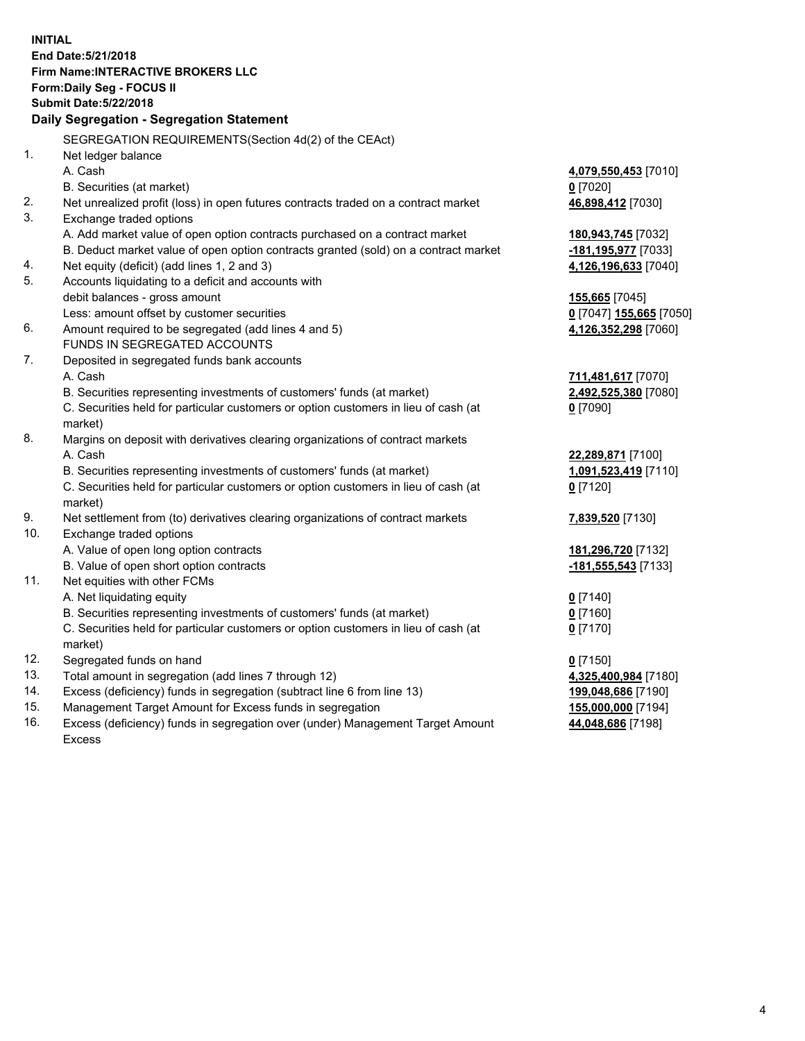**INITIAL End Date:5/21/2018 Firm Name:INTERACTIVE BROKERS LLC Form:Daily Seg - FOCUS II Submit Date:5/22/2018 Daily Segregation - Segregation Statement** SEGREGATION REQUIREMENTS(Section 4d(2) of the CEAct) 1. Net ledger balance A. Cash **4,079,550,453** [7010] B. Securities (at market) **0** [7020] 2. Net unrealized profit (loss) in open futures contracts traded on a contract market **46,898,412** [7030] 3. Exchange traded options A. Add market value of open option contracts purchased on a contract market **180,943,745** [7032] B. Deduct market value of open option contracts granted (sold) on a contract market **-181,195,977** [7033] 4. Net equity (deficit) (add lines 1, 2 and 3) **4,126,196,633** [7040] 5. Accounts liquidating to a deficit and accounts with debit balances - gross amount **155,665** [7045] Less: amount offset by customer securities **0** [7047] **155,665** [7050] 6. Amount required to be segregated (add lines 4 and 5) **4,126,352,298** [7060] FUNDS IN SEGREGATED ACCOUNTS 7. Deposited in segregated funds bank accounts A. Cash **711,481,617** [7070] B. Securities representing investments of customers' funds (at market) **2,492,525,380** [7080] C. Securities held for particular customers or option customers in lieu of cash (at market) **0** [7090] 8. Margins on deposit with derivatives clearing organizations of contract markets A. Cash **22,289,871** [7100] B. Securities representing investments of customers' funds (at market) **1,091,523,419** [7110] C. Securities held for particular customers or option customers in lieu of cash (at market) **0** [7120] 9. Net settlement from (to) derivatives clearing organizations of contract markets **7,839,520** [7130] 10. Exchange traded options A. Value of open long option contracts **181,296,720** [7132] B. Value of open short option contracts **-181,555,543** [7133] 11. Net equities with other FCMs A. Net liquidating equity **0** [7140] B. Securities representing investments of customers' funds (at market) **0** [7160] C. Securities held for particular customers or option customers in lieu of cash (at market) **0** [7170] 12. Segregated funds on hand **0** [7150] 13. Total amount in segregation (add lines 7 through 12) **4,325,400,984** [7180] 14. Excess (deficiency) funds in segregation (subtract line 6 from line 13) **199,048,686** [7190] 15. Management Target Amount for Excess funds in segregation **155,000,000** [7194] **44,048,686** [7198]

16. Excess (deficiency) funds in segregation over (under) Management Target Amount Excess